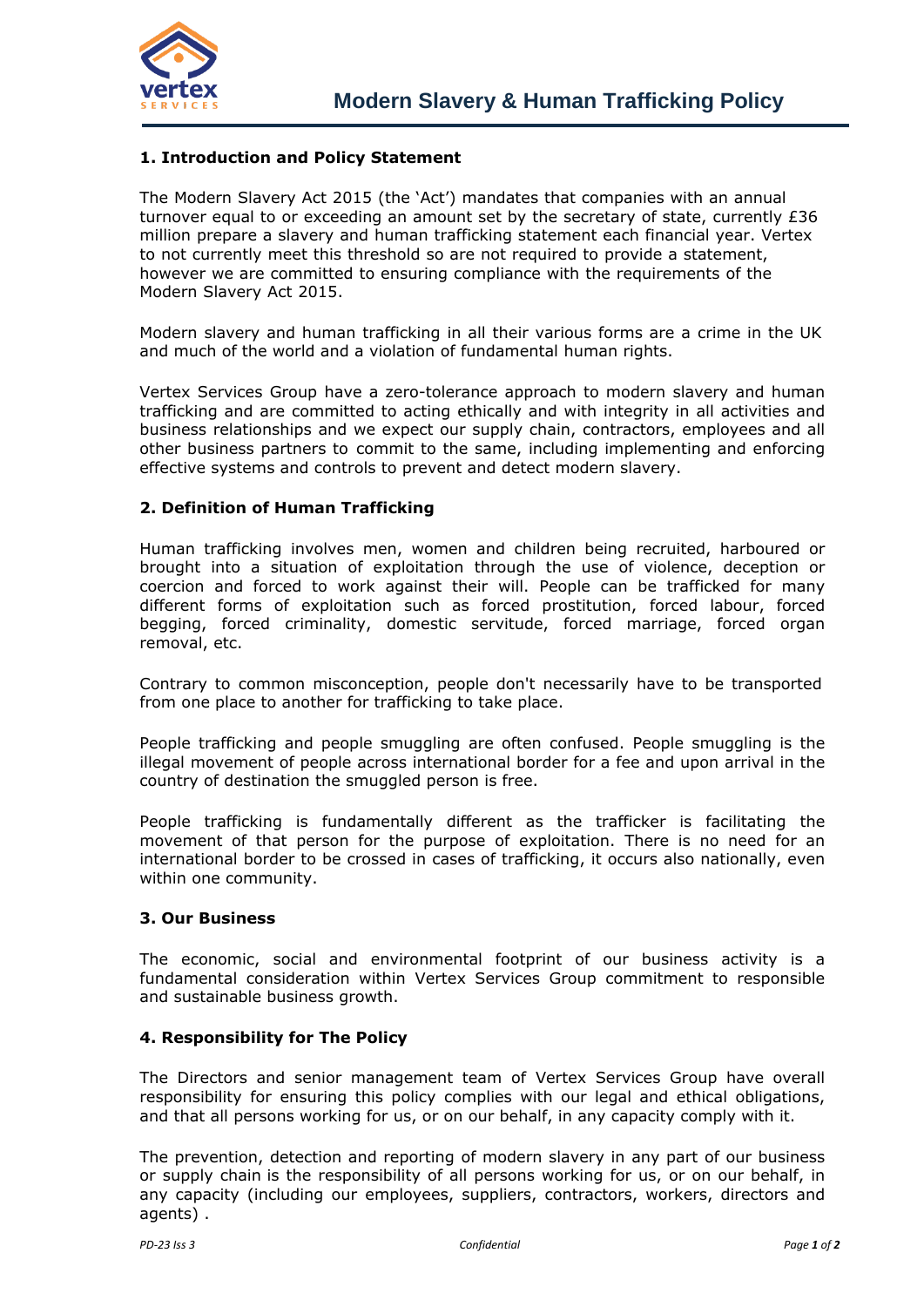

# **1. Introduction and Policy Statement**

The Modern Slavery Act 2015 (the 'Act') mandates that companies with an annual turnover equal to or exceeding an amount set by the secretary of state, currently £36 million prepare a slavery and human trafficking statement each financial year. Vertex to not currently meet this threshold so are not required to provide a statement, however we are committed to ensuring compliance with the requirements of the Modern Slavery Act 2015.

Modern slavery and human trafficking in all their various forms are a crime in the UK and much of the world and a violation of fundamental human rights.

Vertex Services Group have a zero-tolerance approach to modern slavery and human trafficking and are committed to acting ethically and with integrity in all activities and business relationships and we expect our supply chain, contractors, employees and all other business partners to commit to the same, including implementing and enforcing effective systems and controls to prevent and detect modern slavery.

### **2. Definition of Human Trafficking**

Human trafficking involves men, women and children being recruited, harboured or brought into a situation of exploitation through the use of violence, deception or coercion and forced to work against their will. People can be trafficked for many different forms of exploitation such as forced prostitution, [forced labour,](http://www.antislavery.org/english/slavery_today/forced_labour/default.aspx) forced begging, forced criminality, [domestic servitude,](http://www.antislavery.org/english/slavery_today/domestic_work_and_slavery/default.aspx) [forced marriage,](http://www.antislavery.org/english/slavery_today/descent_based_slavery_2/default.aspx) forced organ removal, etc.

Contrary to common misconception, people don't necessarily have to be transported from one place to another for trafficking to take place.

People trafficking and people smuggling are often confused. People smuggling is the illegal movement of people across international border for a fee and upon arrival in the country of destination the smuggled person is free.

People trafficking is fundamentally different as the trafficker is facilitating the movement of that person for the purpose of exploitation. There is no need for an international border to be crossed in cases of trafficking, it occurs also nationally, even within one community.

### **3. Our Business**

The economic, social and environmental footprint of our business activity is a fundamental consideration within Vertex Services Group commitment to responsible and sustainable business growth.

### **4. Responsibility for The Policy**

The Directors and senior management team of Vertex Services Group have overall responsibility for ensuring this policy complies with our legal and ethical obligations, and that all persons working for us, or on our behalf, in any capacity comply with it.

The prevention, detection and reporting of modern slavery in any part of our business or supply chain is the responsibility of all persons working for us, or on our behalf, in any capacity (including our employees, suppliers, contractors, workers, directors and agents) .